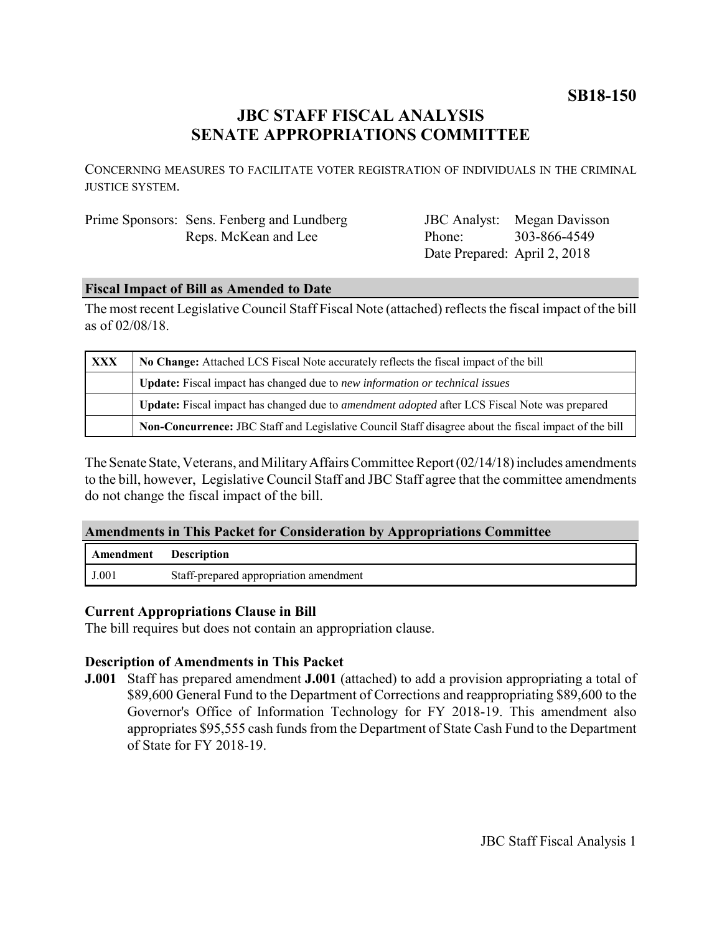**SB18-150**

# **JBC STAFF FISCAL ANALYSIS SENATE APPROPRIATIONS COMMITTEE**

CONCERNING MEASURES TO FACILITATE VOTER REGISTRATION OF INDIVIDUALS IN THE CRIMINAL JUSTICE SYSTEM.

## Prime Sponsors: Sens. Fenberg and Lundberg Reps. McKean and Lee

JBC Analyst: Megan Davisson Phone: Date Prepared: April 2, 2018 303-866-4549

#### **Fiscal Impact of Bill as Amended to Date**

The most recent Legislative Council Staff Fiscal Note (attached) reflects the fiscal impact of the bill as of 02/08/18.

| <b>XXX</b> | No Change: Attached LCS Fiscal Note accurately reflects the fiscal impact of the bill                 |
|------------|-------------------------------------------------------------------------------------------------------|
|            | Update: Fiscal impact has changed due to new information or technical issues                          |
|            | Update: Fiscal impact has changed due to <i>amendment adopted</i> after LCS Fiscal Note was prepared  |
|            | Non-Concurrence: JBC Staff and Legislative Council Staff disagree about the fiscal impact of the bill |

The Senate State, Veterans, and Military Affairs Committee Report (02/14/18) includes amendments to the bill, however, Legislative Council Staff and JBC Staff agree that the committee amendments do not change the fiscal impact of the bill.

#### **Amendments in This Packet for Consideration by Appropriations Committee**

| Amendment | <b>Description</b>                     |
|-----------|----------------------------------------|
| J.001     | Staff-prepared appropriation amendment |

#### **Current Appropriations Clause in Bill**

The bill requires but does not contain an appropriation clause.

### **Description of Amendments in This Packet**

**J.001** Staff has prepared amendment **J.001** (attached) to add a provision appropriating a total of \$89,600 General Fund to the Department of Corrections and reappropriating \$89,600 to the Governor's Office of Information Technology for FY 2018-19. This amendment also appropriates \$95,555 cash funds from the Department of State Cash Fund to the Department of State for FY 2018-19.